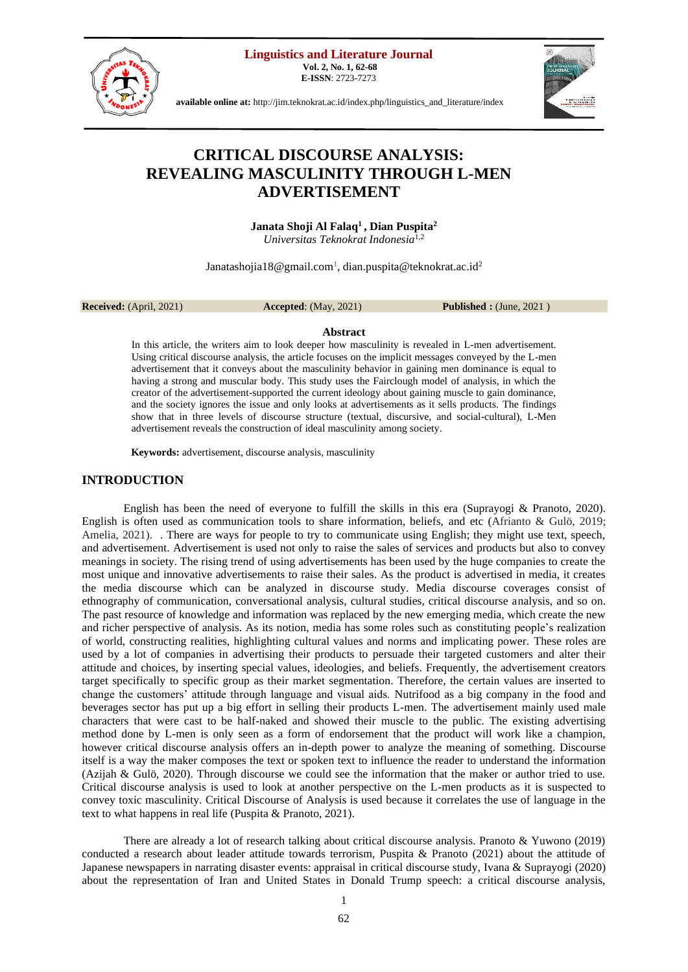**Linguistics and Literature Journal**

**Vol. 2, No. 1, 62-68 E-ISSN**: 2723-7273



**available online at:** [http://jim.teknokrat.ac.id/index.php/linguistics\\_and\\_literature/index](http://jim.teknokrat.ac.id/index.php/linguistics_and_literature/index)

# **CRITICAL DISCOURSE ANALYSIS: REVEALING MASCULINITY THROUGH L-MEN ADVERTISEMENT**

**Janata Shoji Al Falaq<sup>1</sup>, Dian Puspita<sup>2</sup>** *Universitas Teknokrat Indonesia*1,2

[Janatashojia18@gmail.com](mailto:Janatashojia18@Gmail.com)<sup>1</sup>, dian.puspita@teknokrat.ac.id<sup>2</sup>

**Received:** (April, 2021) **Accepted**: (May, 2021) **Published :** (June, 2021 )

## **Abstract**

In this article, the writers aim to look deeper how masculinity is revealed in L-men advertisement. Using critical discourse analysis, the article focuses on the implicit messages conveyed by the L-men advertisement that it conveys about the masculinity behavior in gaining men dominance is equal to having a strong and muscular body. This study uses the Fairclough model of analysis, in which the creator of the advertisement-supported the current ideology about gaining muscle to gain dominance, and the society ignores the issue and only looks at advertisements as it sells products. The findings show that in three levels of discourse structure (textual, discursive, and social-cultural), L-Men advertisement reveals the construction of ideal masculinity among society.

**Keywords:** advertisement, discourse analysis, masculinity

# **INTRODUCTION**

English has been the need of everyone to fulfill the skills in this era (Suprayogi & Pranoto, 2020). English is often used as communication tools to share information, beliefs, and etc (Afrianto & Gulö, 2019; Amelia, 2021). There are ways for people to try to communicate using English; they might use text, speech, and advertisement. Advertisement is used not only to raise the sales of services and products but also to convey meanings in society. The rising trend of using advertisements has been used by the huge companies to create the most unique and innovative advertisements to raise their sales. As the product is advertised in media, it creates the media discourse which can be analyzed in discourse study. Media discourse coverages consist of ethnography of communication, conversational analysis, cultural studies, critical discourse analysis, and so on. The past resource of knowledge and information was replaced by the new emerging media, which create the new and richer perspective of analysis. As its notion, media has some roles such as constituting people's realization of world, constructing realities, highlighting cultural values and norms and implicating power. These roles are used by a lot of companies in advertising their products to persuade their targeted customers and alter their attitude and choices, by inserting special values, ideologies, and beliefs. Frequently, the advertisement creators target specifically to specific group as their market segmentation. Therefore, the certain values are inserted to change the customers' attitude through language and visual aids. Nutrifood as a big company in the food and beverages sector has put up a big effort in selling their products L-men. The advertisement mainly used male characters that were cast to be half-naked and showed their muscle to the public. The existing advertising method done by L-men is only seen as a form of endorsement that the product will work like a champion, however critical discourse analysis offers an in-depth power to analyze the meaning of something. Discourse itself is a way the maker composes the text or spoken text to influence the reader to understand the information (Azijah & Gulö, 2020). Through discourse we could see the information that the maker or author tried to use. Critical discourse analysis is used to look at another perspective on the L-men products as it is suspected to convey toxic masculinity. Critical Discourse of Analysis is used because it correlates the use of language in the text to what happens in real life (Puspita & Pranoto, 2021).

There are already a lot of research talking about critical discourse analysis. Pranoto & Yuwono (2019) conducted a research about leader attitude towards terrorism, Puspita & Pranoto (2021) about the attitude of Japanese newspapers in narrating disaster events: appraisal in critical discourse study, Ivana & Suprayogi (2020) about the representation of Iran and United States in Donald Trump speech: a critical discourse analysis,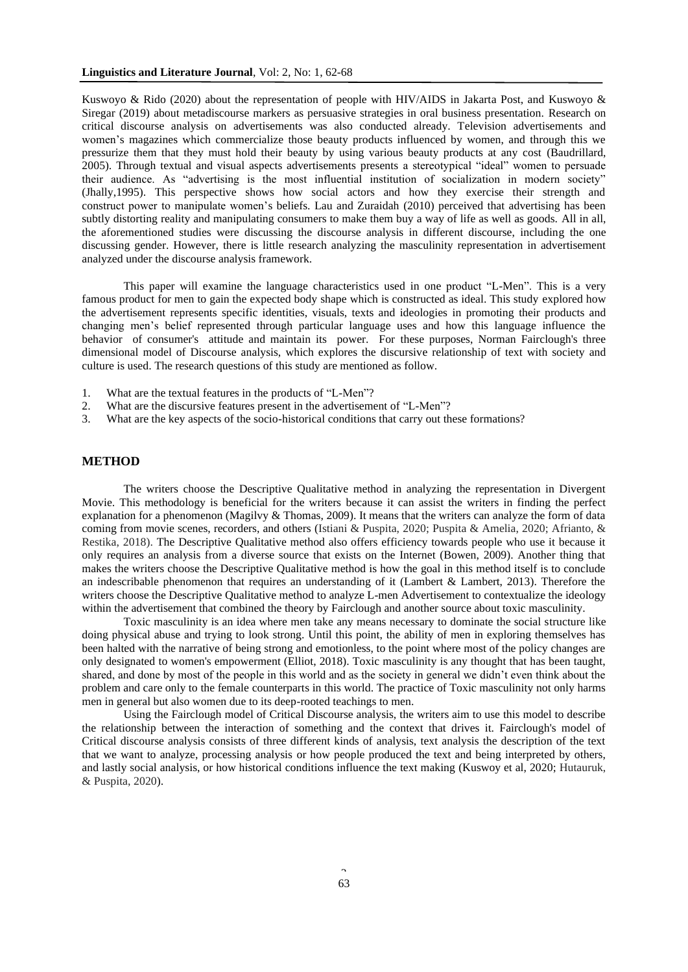## **Linguistics and Literature Journal**, Vol: 2, No: 1, 62-68

Kuswoyo & Rido (2020) about the representation of people with HIV/AIDS in Jakarta Post, and Kuswoyo & Siregar (2019) about metadiscourse markers as persuasive strategies in oral business presentation. Research on critical discourse analysis on advertisements was also conducted already. Television advertisements and women's magazines which commercialize those beauty products influenced by women, and through this we pressurize them that they must hold their beauty by using various beauty products at any cost (Baudrillard, 2005). Through textual and visual aspects advertisements presents a stereotypical "ideal" women to persuade their audience. As "advertising is the most influential institution of socialization in modern society" (Jhally,1995). This perspective shows how social actors and how they exercise their strength and construct power to manipulate women's beliefs. Lau and Zuraidah (2010) perceived that advertising has been subtly distorting reality and manipulating consumers to make them buy a way of life as well as goods. All in all, the aforementioned studies were discussing the discourse analysis in different discourse, including the one discussing gender. However, there is little research analyzing the masculinity representation in advertisement analyzed under the discourse analysis framework.

This paper will examine the language characteristics used in one product "L-Men". This is a very famous product for men to gain the expected body shape which is constructed as ideal. This study explored how the advertisement represents specific identities, visuals, texts and ideologies in promoting their products and changing men's belief represented through particular language uses and how this language influence the behavior of consumer's attitude and maintain its power. For these purposes, Norman Fairclough's three dimensional model of Discourse analysis, which explores the discursive relationship of text with society and culture is used. The research questions of this study are mentioned as follow.

- 1. What are the textual features in the products of "L-Men"?
- 2. What are the discursive features present in the advertisement of "L-Men"?
- 3. What are the key aspects of the socio-historical conditions that carry out these formations?

## **METHOD**

The writers choose the Descriptive Qualitative method in analyzing the representation in Divergent Movie. This methodology is beneficial for the writers because it can assist the writers in finding the perfect explanation for a phenomenon (Magilvy & Thomas, 2009). It means that the writers can analyze the form of data coming from movie scenes, recorders, and others (Istiani & Puspita, 2020; Puspita & Amelia, 2020; Afrianto, & Restika, 2018). The Descriptive Qualitative method also offers efficiency towards people who use it because it only requires an analysis from a diverse source that exists on the Internet (Bowen, 2009). Another thing that makes the writers choose the Descriptive Qualitative method is how the goal in this method itself is to conclude an indescribable phenomenon that requires an understanding of it (Lambert & Lambert, 2013). Therefore the writers choose the Descriptive Qualitative method to analyze L-men Advertisement to contextualize the ideology within the advertisement that combined the theory by Fairclough and another source about toxic masculinity.

Toxic masculinity is an idea where men take any means necessary to dominate the social structure like doing physical abuse and trying to look strong. Until this point, the ability of men in exploring themselves has been halted with the narrative of being strong and emotionless, to the point where most of the policy changes are only designated to women's empowerment (Elliot, 2018). Toxic masculinity is any thought that has been taught, shared, and done by most of the people in this world and as the society in general we didn't even think about the problem and care only to the female counterparts in this world. The practice of Toxic masculinity not only harms men in general but also women due to its deep-rooted teachings to men.

Using the Fairclough model of Critical Discourse analysis, the writers aim to use this model to describe the relationship between the interaction of something and the context that drives it. Fairclough's model of Critical discourse analysis consists of three different kinds of analysis, text analysis the description of the text that we want to analyze, processing analysis or how people produced the text and being interpreted by others, and lastly social analysis, or how historical conditions influence the text making (Kuswoy et al, 2020; Hutauruk, & Puspita, 2020).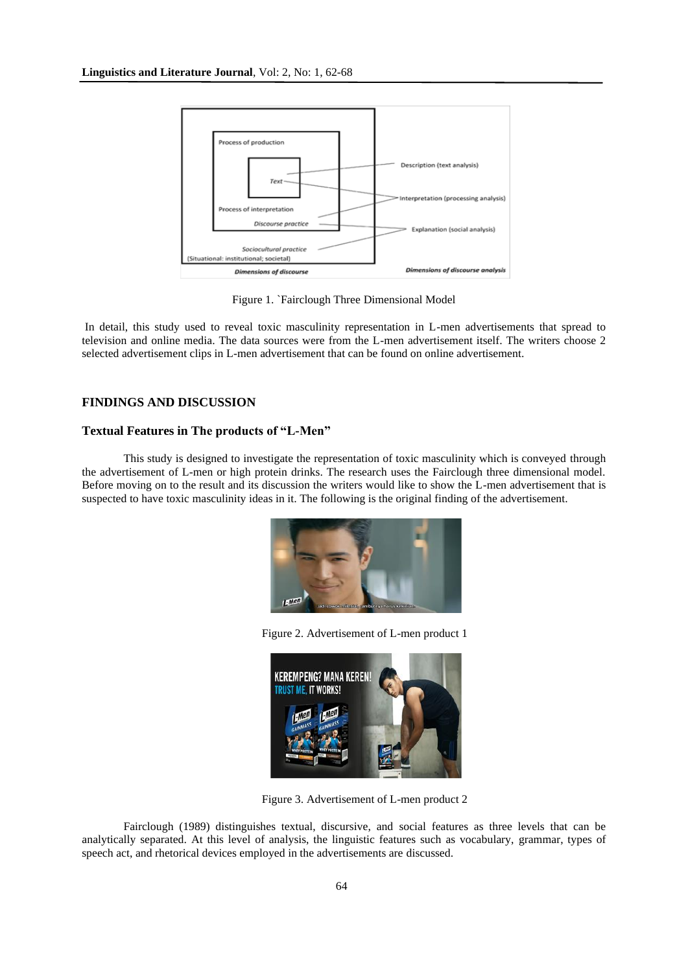

Figure 1. `Fairclough Three Dimensional Model

In detail, this study used to reveal toxic masculinity representation in L-men advertisements that spread to television and online media. The data sources were from the L-men advertisement itself. The writers choose 2 selected advertisement clips in L-men advertisement that can be found on online advertisement.

# **FINDINGS AND DISCUSSION**

#### **Textual Features in The products of "L-Men"**

This study is designed to investigate the representation of toxic masculinity which is conveyed through the advertisement of L-men or high protein drinks. The research uses the Fairclough three dimensional model. Before moving on to the result and its discussion the writers would like to show the L-men advertisement that is suspected to have toxic masculinity ideas in it. The following is the original finding of the advertisement.



Figure 2. Advertisement of L-men product 1



Figure 3. Advertisement of L-men product 2

Fairclough (1989) distinguishes textual, discursive, and social features as three levels that can be analytically separated. At this level of analysis, the linguistic features such as vocabulary, grammar, types of speech act, and rhetorical devices employed in the advertisements are discussed.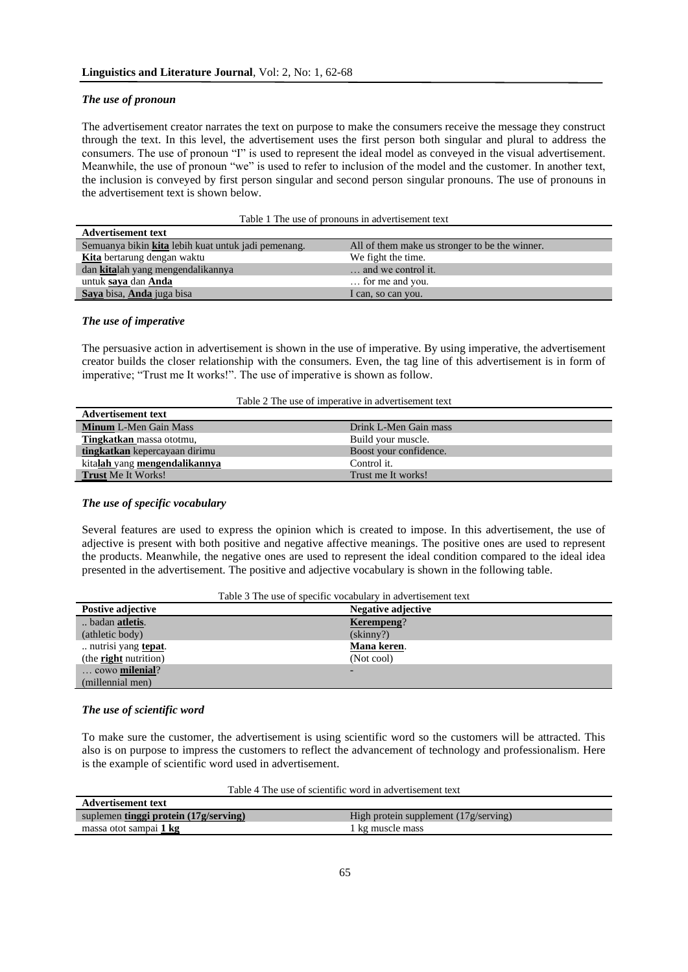#### *The use of pronoun*

The advertisement creator narrates the text on purpose to make the consumers receive the message they construct through the text. In this level, the advertisement uses the first person both singular and plural to address the consumers. The use of pronoun "I" is used to represent the ideal model as conveyed in the visual advertisement. Meanwhile, the use of pronoun "we" is used to refer to inclusion of the model and the customer. In another text, the inclusion is conveyed by first person singular and second person singular pronouns. The use of pronouns in the advertisement text is shown below.

|  | Table 1 The use of pronouns in advertisement text |
|--|---------------------------------------------------|
|--|---------------------------------------------------|

| <b>Advertisement text</b>                           |                                                |
|-----------------------------------------------------|------------------------------------------------|
| Semuanya bikin kita lebih kuat untuk jadi pemenang. | All of them make us stronger to be the winner. |
| <b>Kita</b> bertarung dengan waktu                  | We fight the time.                             |
| dan kitalah yang mengendalikannya                   | and we control it.                             |
| untuk saya dan Anda                                 | for me and you.                                |
| Saya bisa, Anda juga bisa                           | I can, so can you.                             |

## *The use of imperative*

The persuasive action in advertisement is shown in the use of imperative. By using imperative, the advertisement creator builds the closer relationship with the consumers. Even, the tag line of this advertisement is in form of imperative; "Trust me It works!". The use of imperative is shown as follow.

| Table 2 The use of imperative in advertisement text |  |  |  |  |
|-----------------------------------------------------|--|--|--|--|
|-----------------------------------------------------|--|--|--|--|

| <b>Advertisement text</b>     |                        |
|-------------------------------|------------------------|
| <b>Minum L-Men Gain Mass</b>  | Drink L-Men Gain mass  |
| Tingkatkan massa ototmu,      | Build your muscle.     |
| tingkatkan kepercayaan dirimu | Boost your confidence. |
| kitalah yang mengendalikannya | Control it.            |
| Trust Me It Works!            | Trust me It works!     |

#### *The use of specific vocabulary*

Several features are used to express the opinion which is created to impose. In this advertisement, the use of adjective is present with both positive and negative affective meanings. The positive ones are used to represent the products. Meanwhile, the negative ones are used to represent the ideal condition compared to the ideal idea presented in the advertisement. The positive and adjective vocabulary is shown in the following table.

| Table 3 The use of specific vocabulary in advertisement text |                    |  |
|--------------------------------------------------------------|--------------------|--|
| Postive adjective                                            | Negative adjective |  |
| badan <b>atletis</b> .                                       | Kerempeng?         |  |
| (athletic body)                                              | $(\text{skinny?})$ |  |
| nutrisi yang tepat.                                          | Mana keren.        |  |
| (the <b>right</b> nutrition)                                 | (Not cool)         |  |
| cowo milenial?                                               |                    |  |
| (millennial men)                                             |                    |  |

#### *The use of scientific word*

**Advertisement text**

To make sure the customer, the advertisement is using scientific word so the customers will be attracted. This also is on purpose to impress the customers to reflect the advancement of technology and professionalism. Here is the example of scientific word used in advertisement.

| Table 4 The use of scientific word in advertisement text |  |  |  |
|----------------------------------------------------------|--|--|--|
|----------------------------------------------------------|--|--|--|

| TAA'U CL CECHECHE COAC                |                                                |
|---------------------------------------|------------------------------------------------|
| suplemen tinggi protein (17g/serving) | High protein supplement $(17g/\text{serving})$ |
| massa otot sampai 1 kg                | 1 kg muscle mass                               |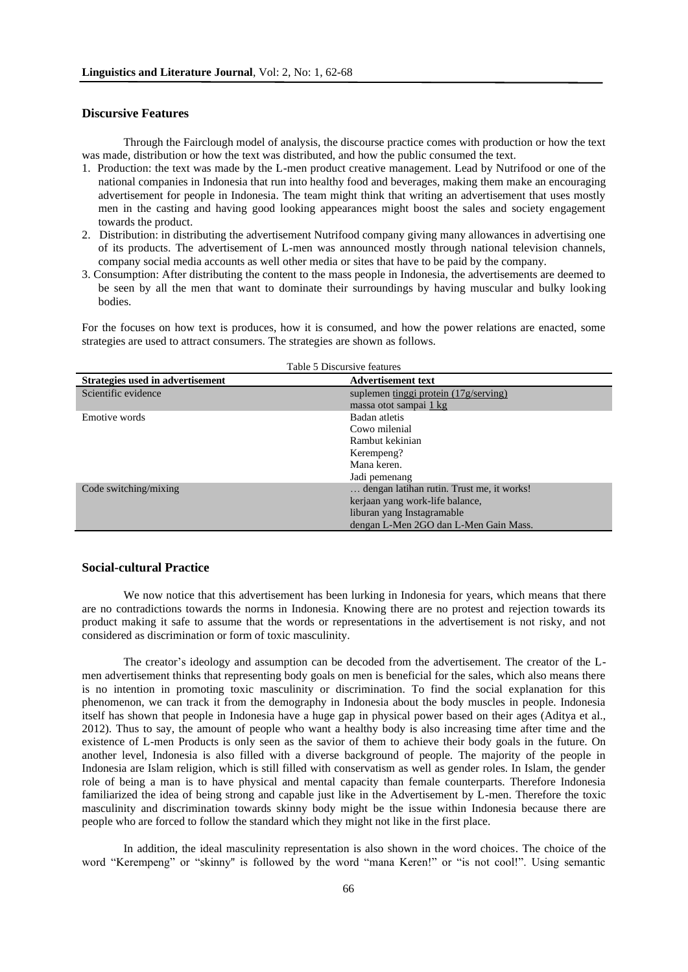## **Discursive Features**

Through the Fairclough model of analysis, the discourse practice comes with production or how the text was made, distribution or how the text was distributed, and how the public consumed the text.

- 1. Production: the text was made by the L-men product creative management. Lead by Nutrifood or one of the national companies in Indonesia that run into healthy food and beverages, making them make an encouraging advertisement for people in Indonesia. The team might think that writing an advertisement that uses mostly men in the casting and having good looking appearances might boost the sales and society engagement towards the product.
- 2. Distribution: in distributing the advertisement Nutrifood company giving many allowances in advertising one of its products. The advertisement of L-men was announced mostly through national television channels, company social media accounts as well other media or sites that have to be paid by the company.
- 3. Consumption: After distributing the content to the mass people in Indonesia, the advertisements are deemed to be seen by all the men that want to dominate their surroundings by having muscular and bulky looking bodies.

For the focuses on how text is produces, how it is consumed, and how the power relations are enacted, some strategies are used to attract consumers. The strategies are shown as follows.

 $T<sub>0</sub>$  Table

| I able 5 Discursive reatures     |                                                |  |
|----------------------------------|------------------------------------------------|--|
| Strategies used in advertisement | <b>Advertisement text</b>                      |  |
| Scientific evidence              | suplemen tinggi protein $(17g/\text{serving})$ |  |
|                                  | massa otot sampai 1 kg                         |  |
| Emotive words                    | Badan atletis                                  |  |
|                                  | Cowo milenial                                  |  |
|                                  | Rambut kekinian                                |  |
|                                  | Kerempeng?                                     |  |
|                                  | Mana keren.                                    |  |
|                                  | Jadi pemenang                                  |  |
| Code switching/mixing            | dengan latihan rutin. Trust me, it works!      |  |
|                                  | kerjaan yang work-life balance,                |  |
|                                  | liburan yang Instagramable                     |  |
|                                  | dengan L-Men 2GO dan L-Men Gain Mass.          |  |

#### **Social-cultural Practice**

We now notice that this advertisement has been lurking in Indonesia for years, which means that there are no contradictions towards the norms in Indonesia. Knowing there are no protest and rejection towards its product making it safe to assume that the words or representations in the advertisement is not risky, and not considered as discrimination or form of toxic masculinity.

The creator's ideology and assumption can be decoded from the advertisement. The creator of the Lmen advertisement thinks that representing body goals on men is beneficial for the sales, which also means there is no intention in promoting toxic masculinity or discrimination. To find the social explanation for this phenomenon, we can track it from the demography in Indonesia about the body muscles in people. Indonesia itself has shown that people in Indonesia have a huge gap in physical power based on their ages (Aditya et al., 2012). Thus to say, the amount of people who want a healthy body is also increasing time after time and the existence of L-men Products is only seen as the savior of them to achieve their body goals in the future. On another level, Indonesia is also filled with a diverse background of people. The majority of the people in Indonesia are Islam religion, which is still filled with conservatism as well as gender roles. In Islam, the gender role of being a man is to have physical and mental capacity than female counterparts. Therefore Indonesia familiarized the idea of being strong and capable just like in the Advertisement by L-men. Therefore the toxic masculinity and discrimination towards skinny body might be the issue within Indonesia because there are people who are forced to follow the standard which they might not like in the first place.

In addition, the ideal masculinity representation is also shown in the word choices. The choice of the word "Kerempeng" or "skinny'' is followed by the word "mana Keren!" or "is not cool!". Using semantic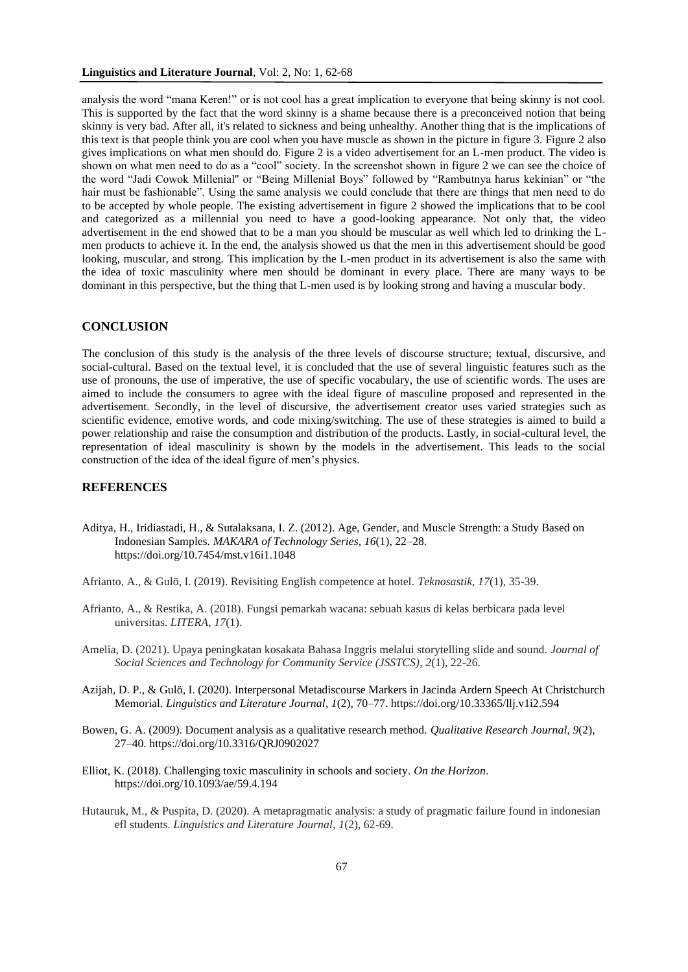analysis the word "mana Keren!" or is not cool has a great implication to everyone that being skinny is not cool. This is supported by the fact that the word skinny is a shame because there is a preconceived notion that being skinny is very bad. After all, it's related to sickness and being unhealthy. Another thing that is the implications of this text is that people think you are cool when you have muscle as shown in the picture in figure 3. Figure 2 also gives implications on what men should do. Figure 2 is a video advertisement for an L-men product. The video is shown on what men need to do as a "cool" society. In the screenshot shown in figure 2 we can see the choice of the word "Jadi Cowok Millenial'' or "Being Millenial Boys" followed by "Rambutnya harus kekinian" or "the hair must be fashionable". Using the same analysis we could conclude that there are things that men need to do to be accepted by whole people. The existing advertisement in figure 2 showed the implications that to be cool and categorized as a millennial you need to have a good-looking appearance. Not only that, the video advertisement in the end showed that to be a man you should be muscular as well which led to drinking the Lmen products to achieve it. In the end, the analysis showed us that the men in this advertisement should be good looking, muscular, and strong. This implication by the L-men product in its advertisement is also the same with the idea of toxic masculinity where men should be dominant in every place. There are many ways to be dominant in this perspective, but the thing that L-men used is by looking strong and having a muscular body.

### **CONCLUSION**

The conclusion of this study is the analysis of the three levels of discourse structure; textual, discursive, and social-cultural. Based on the textual level, it is concluded that the use of several linguistic features such as the use of pronouns, the use of imperative, the use of specific vocabulary, the use of scientific words. The uses are aimed to include the consumers to agree with the ideal figure of masculine proposed and represented in the advertisement. Secondly, in the level of discursive, the advertisement creator uses varied strategies such as scientific evidence, emotive words, and code mixing/switching. The use of these strategies is aimed to build a power relationship and raise the consumption and distribution of the products. Lastly, in social-cultural level, the representation of ideal masculinity is shown by the models in the advertisement. This leads to the social construction of the idea of the ideal figure of men's physics.

# **REFERENCES**

- Aditya, H., Iridiastadi, H., & Sutalaksana, I. Z. (2012). Age, Gender, and Muscle Strength: a Study Based on Indonesian Samples. *MAKARA of Technology Series*, *16*(1), 22–28. https://doi.org/10.7454/mst.v16i1.1048
- Afrianto, A., & Gulö, I. (2019). Revisiting English competence at hotel. *Teknosastik*, *17*(1), 35-39.
- Afrianto, A., & Restika, A. (2018). Fungsi pemarkah wacana: sebuah kasus di kelas berbicara pada level universitas. *LITERA*, *17*(1).
- Amelia, D. (2021). Upaya peningkatan kosakata Bahasa Inggris melalui storytelling slide and sound. *Journal of Social Sciences and Technology for Community Service (JSSTCS)*, *2*(1), 22-26.
- Azijah, D. P., & Gulö, I. (2020). Interpersonal Metadiscourse Markers in Jacinda Ardern Speech At Christchurch Memorial. *Linguistics and Literature Journal*, *1*(2), 70–77. https://doi.org/10.33365/llj.v1i2.594
- Bowen, G. A. (2009). Document analysis as a qualitative research method. *Qualitative Research Journal*, *9*(2), 27–40. https://doi.org/10.3316/QRJ0902027
- Elliot, K. (2018). Challenging toxic masculinity in schools and society. *On the Horizon*. https://doi.org/10.1093/ae/59.4.194
- Hutauruk, M., & Puspita, D. (2020). A metapragmatic analysis: a study of pragmatic failure found in indonesian efl students. *Linguistics and Literature Journal*, *1*(2), 62-69.